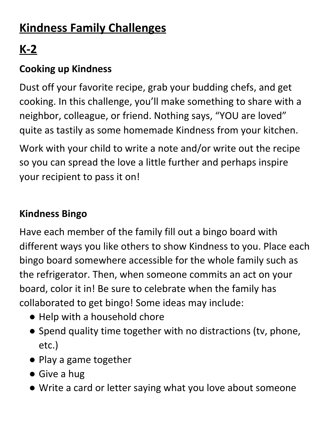## **Kindness Family Challenges**

# **K-2**

#### **Cooking up Kindness**

Dust off your favorite recipe, grab your budding chefs, and get cooking. In this challenge, you'll make something to share with a neighbor, colleague, or friend. Nothing says, "YOU are loved" quite as tastily as some homemade Kindness from your kitchen.

Work with your child to write a note and/or write out the recipe so you can spread the love a little further and perhaps inspire your recipient to pass it on!

#### **Kindness Bingo**

Have each member of the family fill out a bingo board with different ways you like others to show Kindness to you. Place each bingo board somewhere accessible for the whole family such as the refrigerator. Then, when someone commits an act on your board, color it in! Be sure to celebrate when the family has collaborated to get bingo! Some ideas may include:

- Help with a household chore
- Spend quality time together with no distractions (tv, phone, etc.)
- Play a game together
- Give a hug
- Write a card or letter saying what you love about someone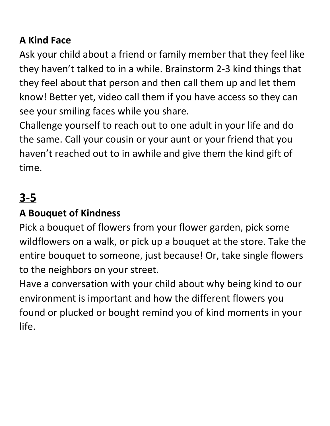#### **A Kind Face**

Ask your child about a friend or family member that they feel like they haven't talked to in a while. Brainstorm 2-3 kind things that they feel about that person and then call them up and let them know! Better yet, video call them if you have access so they can see your smiling faces while you share.

Challenge yourself to reach out to one adult in your life and do the same. Call your cousin or your aunt or your friend that you haven't reached out to in awhile and give them the kind gift of time.

## **3-5**

#### **A Bouquet of Kindness**

Pick a bouquet of flowers from your flower garden, pick some wildflowers on a walk, or pick up a bouquet at the store. Take the entire bouquet to someone, just because! Or, take single flowers to the neighbors on your street.

Have a conversation with your child about why being kind to our environment is important and how the different flowers you found or plucked or bought remind you of kind moments in your life.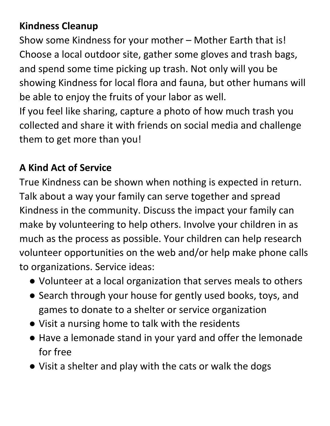#### **Kindness Cleanup**

Show some Kindness for your mother – Mother Earth that is! Choose a local outdoor site, gather some gloves and trash bags, and spend some time picking up trash. Not only will you be showing Kindness for local flora and fauna, but other humans will be able to enjoy the fruits of your labor as well. If you feel like sharing, capture a photo of how much trash you collected and share it with friends on social media and challenge them to get more than you!

#### **A Kind Act of Service**

True Kindness can be shown when nothing is expected in return. Talk about a way your family can serve together and spread Kindness in the community. Discuss the impact your family can make by volunteering to help others. Involve your children in as much as the process as possible. Your children can help research volunteer opportunities on the web and/or help make phone calls to organizations. Service ideas:

- Volunteer at a local organization that serves meals to others
- Search through your house for gently used books, toys, and games to donate to a shelter or service organization
- Visit a nursing home to talk with the residents
- Have a lemonade stand in your yard and offer the lemonade for free
- Visit a shelter and play with the cats or walk the dogs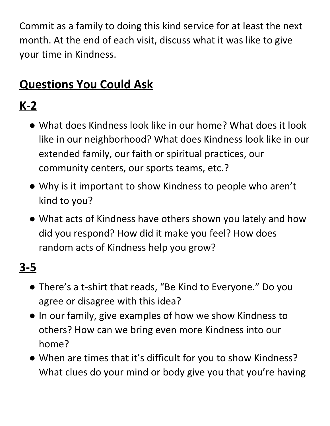Commit as a family to doing this kind service for at least the next month. At the end of each visit, discuss what it was like to give your time in Kindness.

### **Questions You Could Ask**

## **K-2**

- What does Kindness look like in our home? What does it look like in our neighborhood? What does Kindness look like in our extended family, our faith or spiritual practices, our community centers, our sports teams, etc.?
- Why is it important to show Kindness to people who aren't kind to you?
- What acts of Kindness have others shown you lately and how did you respond? How did it make you feel? How does random acts of Kindness help you grow?

# **3-5**

- There's a t-shirt that reads, "Be Kind to Everyone." Do you agree or disagree with this idea?
- In our family, give examples of how we show Kindness to others? How can we bring even more Kindness into our home?
- When are times that it's difficult for you to show Kindness? What clues do your mind or body give you that you're having